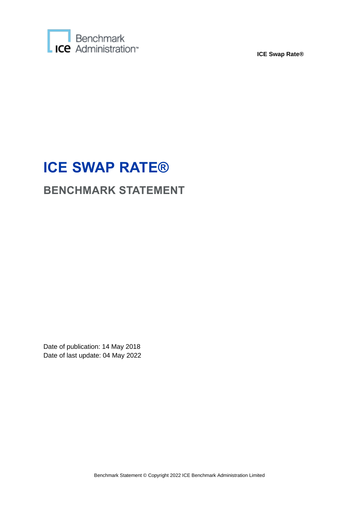

# **ICE SWAP RATE®**

# **BENCHMARK STATEMENT**

Date of publication: 14 May 2018 Date of last update: 04 May 2022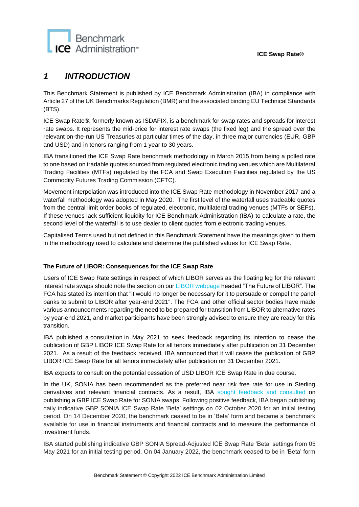

### *1 INTRODUCTION*

This Benchmark Statement is published by ICE Benchmark Administration (IBA) in compliance with Article 27 of the UK Benchmarks Regulation (BMR) and the associated binding EU Technical Standards (BTS).

ICE Swap Rate®, formerly known as ISDAFIX, is a benchmark for swap rates and spreads for interest rate swaps. It represents the mid-price for interest rate swaps (the fixed leg) and the spread over the relevant on-the-run US Treasuries at particular times of the day, in three major currencies (EUR, GBP and USD) and in tenors ranging from 1 year to 30 years.

IBA transitioned the ICE Swap Rate benchmark methodology in March 2015 from being a polled rate to one based on tradable quotes sourced from regulated electronic trading venues which are Multilateral Trading Facilities (MTFs) regulated by the FCA and Swap Execution Facilities regulated by the US Commodity Futures Trading Commission (CFTC).

Movement interpolation was introduced into the ICE Swap Rate methodology in November 2017 and a waterfall methodology was adopted in May 2020. The first level of the waterfall uses tradeable quotes from the central limit order books of regulated, electronic, multilateral trading venues (MTFs or SEFs). If these venues lack sufficient liquidity for ICE Benchmark Administration (IBA) to calculate a rate, the second level of the waterfall is to use dealer to client quotes from electronic trading venues.

Capitalised Terms used but not defined in this Benchmark Statement have the meanings given to them in the methodology used to calculate and determine the published values for ICE Swap Rate.

#### **The Future of LIBOR: Consequences for the ICE Swap Rate**

Users of ICE Swap Rate settings in respect of which LIBOR serves as the floating leg for the relevant interest rate swaps should note the section on ou[r LIBOR webpage](https://www.theice.com/iba/libor) headed "The Future of LIBOR". The FCA has stated its intention that "it would no longer be necessary for it to persuade or compel the panel banks to submit to LIBOR after year-end 2021". The FCA and other official sector bodies have made various announcements regarding the need to be prepared for transition from LIBOR to alternative rates by year-end 2021, and market participants have been strongly advised to ensure they are ready for this transition.

IBA published a [consultation](https://www.theice.com/publicdocs/ICE_Benchmark_Administration_Consults_on_Potential_Cessation__of_ICE_SWAP_Rate_based_on_GBP_LIBOR.pdf) in May 2021 to seek feedback regarding its intention to cease the publication of GBP LIBOR ICE Swap Rate for all tenors immediately after publication on 31 December 2021. As a result of the feedback received, IBA [announced](https://ir.theice.com/press/news-details/2021/ICE-Benchmark-Administration-Publishes-Feedback-Statement-on-the-Consultation-on-the-Potential-Cessation-of-ICE-Swap-Rate-based-on-GBP-LIBOR/default.aspx) that it will cease the publication of GBP LIBOR ICE Swap Rate for all tenors immediately after publication on 31 December 2021.

IBA expects to consult on the potential cessation of USD LIBOR ICE Swap Rate in due course.

In the UK, SONIA has been recommended as the preferred near risk free rate for use in Sterling derivatives and relevant financial contracts. As a result, IBA [sought feedback and consulted](https://www.theice.com/publicdocs/Consultation_on_introduction_of_ICE_Swap_Rate_based_on_SONIA.pdf) on publishing a GBP ICE Swap Rate for SONIA swaps. Following positive feedback, IBA began publishing daily indicative GBP SONIA ICE Swap Rate 'Beta' settings on 02 October 2020 for an initial testing period. On 14 December 2020, the benchmark ceased to be in 'Beta' form and became a benchmark available for use in financial instruments and financial contracts and to measure the performance of investment funds.

IBA started publishing indicative GBP SONIA Spread-Adjusted ICE Swap Rate 'Beta' settings from 05 May 2021 for an initial testing period. On 04 January 2022, the benchmark ceased to be in 'Beta' form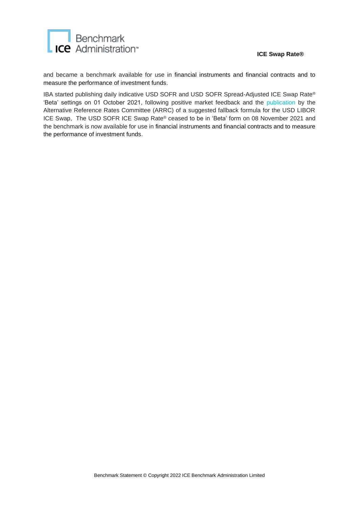

and became a benchmark available for use in financial instruments and financial contracts and to measure the performance of investment funds.

IBA started publishing daily indicative USD SOFR and USD SOFR Spread-Adjusted ICE Swap Rate® 'Beta' settings on 01 October 2021, following positive market feedback and the [publication](https://www.newyorkfed.org/medialibrary/Microsites/arrc/files/2021/20210324-arrc-press-release-ice-swap-rate-white-paper-final) by the Alternative Reference Rates Committee (ARRC) of a suggested fallback formula for the USD LIBOR ICE Swap, The USD SOFR ICE Swap Rate® ceased to be in 'Beta' form on 08 November 2021 and the benchmark is now available for use in financial instruments and financial contracts and to measure the performance of investment funds.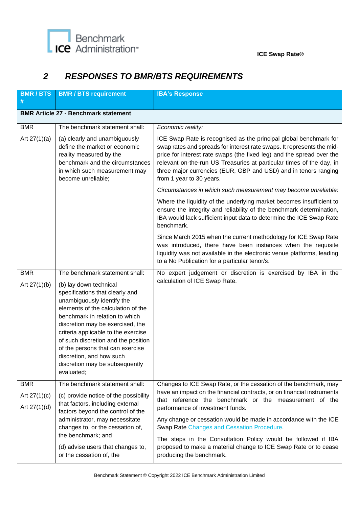## *2 RESPONSES TO BMR/BTS REQUIREMENTS*

| <b>BMR/BTS</b><br>#              | <b>BMR / BTS requirement</b>                                                                                                                                                                                                                                                                                                                                                                                                        | <b>IBA's Response</b>                                                                                                                                                                                                                                                                                                                                                                       |  |  |  |
|----------------------------------|-------------------------------------------------------------------------------------------------------------------------------------------------------------------------------------------------------------------------------------------------------------------------------------------------------------------------------------------------------------------------------------------------------------------------------------|---------------------------------------------------------------------------------------------------------------------------------------------------------------------------------------------------------------------------------------------------------------------------------------------------------------------------------------------------------------------------------------------|--|--|--|
|                                  | <b>BMR Article 27 - Benchmark statement</b>                                                                                                                                                                                                                                                                                                                                                                                         |                                                                                                                                                                                                                                                                                                                                                                                             |  |  |  |
| <b>BMR</b>                       | The benchmark statement shall:                                                                                                                                                                                                                                                                                                                                                                                                      | Economic reality:                                                                                                                                                                                                                                                                                                                                                                           |  |  |  |
| Art $27(1)(a)$                   | (a) clearly and unambiguously<br>define the market or economic<br>reality measured by the<br>benchmark and the circumstances<br>in which such measurement may<br>become unreliable;                                                                                                                                                                                                                                                 | ICE Swap Rate is recognised as the principal global benchmark for<br>swap rates and spreads for interest rate swaps. It represents the mid-<br>price for interest rate swaps (the fixed leg) and the spread over the<br>relevant on-the-run US Treasuries at particular times of the day, in<br>three major currencies (EUR, GBP and USD) and in tenors ranging<br>from 1 year to 30 years. |  |  |  |
|                                  |                                                                                                                                                                                                                                                                                                                                                                                                                                     | Circumstances in which such measurement may become unreliable:                                                                                                                                                                                                                                                                                                                              |  |  |  |
|                                  |                                                                                                                                                                                                                                                                                                                                                                                                                                     | Where the liquidity of the underlying market becomes insufficient to<br>ensure the integrity and reliability of the benchmark determination,<br>IBA would lack sufficient input data to determine the ICE Swap Rate<br>benchmark.                                                                                                                                                           |  |  |  |
|                                  |                                                                                                                                                                                                                                                                                                                                                                                                                                     | Since March 2015 when the current methodology for ICE Swap Rate<br>was introduced, there have been instances when the requisite<br>liquidity was not available in the electronic venue platforms, leading<br>to a No Publication for a particular tenor/s.                                                                                                                                  |  |  |  |
| <b>BMR</b><br>Art $27(1)(b)$     | The benchmark statement shall:<br>(b) lay down technical<br>specifications that clearly and<br>unambiguously identify the<br>elements of the calculation of the<br>benchmark in relation to which<br>discretion may be exercised, the<br>criteria applicable to the exercise<br>of such discretion and the position<br>of the persons that can exercise<br>discretion, and how such<br>discretion may be subsequently<br>evaluated; | No expert judgement or discretion is exercised by IBA in the<br>calculation of ICE Swap Rate.                                                                                                                                                                                                                                                                                               |  |  |  |
| <b>BMR</b>                       | The benchmark statement shall:                                                                                                                                                                                                                                                                                                                                                                                                      | Changes to ICE Swap Rate, or the cessation of the benchmark, may                                                                                                                                                                                                                                                                                                                            |  |  |  |
| Art $27(1)(c)$<br>Art $27(1)(d)$ | (c) provide notice of the possibility<br>that factors, including external<br>factors beyond the control of the<br>administrator, may necessitate<br>changes to, or the cessation of,                                                                                                                                                                                                                                                | have an impact on the financial contracts, or on financial instruments<br>that reference the benchmark or the measurement of the<br>performance of investment funds.<br>Any change or cessation would be made in accordance with the ICE<br><b>Swap Rate Changes and Cessation Procedure.</b>                                                                                               |  |  |  |
|                                  | the benchmark; and<br>(d) advise users that changes to,<br>or the cessation of, the                                                                                                                                                                                                                                                                                                                                                 | The steps in the Consultation Policy would be followed if IBA<br>proposed to make a material change to ICE Swap Rate or to cease<br>producing the benchmark.                                                                                                                                                                                                                                |  |  |  |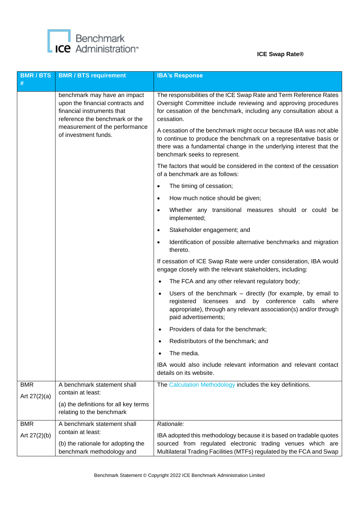

| <b>BMR/BTS</b><br># | <b>BMR / BTS requirement</b>                                                                                                                                                               | <b>IBA's Response</b>                                                                                                                                                                                                                                                                                                                                                                                                                    |
|---------------------|--------------------------------------------------------------------------------------------------------------------------------------------------------------------------------------------|------------------------------------------------------------------------------------------------------------------------------------------------------------------------------------------------------------------------------------------------------------------------------------------------------------------------------------------------------------------------------------------------------------------------------------------|
|                     | benchmark may have an impact<br>upon the financial contracts and<br>financial instruments that<br>reference the benchmark or the<br>measurement of the performance<br>of investment funds. | The responsibilities of the ICE Swap Rate and Term Reference Rates<br>Oversight Committee include reviewing and approving procedures<br>for cessation of the benchmark, including any consultation about a<br>cessation.<br>A cessation of the benchmark might occur because IBA was not able<br>to continue to produce the benchmark on a representative basis or<br>there was a fundamental change in the underlying interest that the |
|                     |                                                                                                                                                                                            | benchmark seeks to represent.<br>The factors that would be considered in the context of the cessation<br>of a benchmark are as follows:                                                                                                                                                                                                                                                                                                  |
|                     |                                                                                                                                                                                            | The timing of cessation;<br>$\bullet$                                                                                                                                                                                                                                                                                                                                                                                                    |
|                     |                                                                                                                                                                                            | How much notice should be given;<br>$\bullet$                                                                                                                                                                                                                                                                                                                                                                                            |
|                     |                                                                                                                                                                                            | Whether any transitional measures should or could be<br>$\bullet$<br>implemented;                                                                                                                                                                                                                                                                                                                                                        |
|                     |                                                                                                                                                                                            | Stakeholder engagement; and<br>$\bullet$                                                                                                                                                                                                                                                                                                                                                                                                 |
|                     |                                                                                                                                                                                            | Identification of possible alternative benchmarks and migration<br>$\bullet$<br>thereto.                                                                                                                                                                                                                                                                                                                                                 |
|                     |                                                                                                                                                                                            | If cessation of ICE Swap Rate were under consideration, IBA would<br>engage closely with the relevant stakeholders, including:                                                                                                                                                                                                                                                                                                           |
|                     |                                                                                                                                                                                            | The FCA and any other relevant regulatory body;<br>$\bullet$                                                                                                                                                                                                                                                                                                                                                                             |
|                     |                                                                                                                                                                                            | Users of the benchmark $-$ directly (for example, by email to<br>$\bullet$<br>registered licensees and by conference calls where<br>appropriate), through any relevant association(s) and/or through<br>paid advertisements;                                                                                                                                                                                                             |
|                     |                                                                                                                                                                                            | Providers of data for the benchmark;                                                                                                                                                                                                                                                                                                                                                                                                     |
|                     |                                                                                                                                                                                            | Redistributors of the benchmark; and                                                                                                                                                                                                                                                                                                                                                                                                     |
|                     |                                                                                                                                                                                            | The media.<br>٠                                                                                                                                                                                                                                                                                                                                                                                                                          |
|                     |                                                                                                                                                                                            | IBA would also include relevant information and relevant contact<br>details on its website.                                                                                                                                                                                                                                                                                                                                              |
| <b>BMR</b>          | A benchmark statement shall<br>contain at least:                                                                                                                                           | The Calculation Methodology includes the key definitions.                                                                                                                                                                                                                                                                                                                                                                                |
| Art $27(2)(a)$      | (a) the definitions for all key terms<br>relating to the benchmark                                                                                                                         |                                                                                                                                                                                                                                                                                                                                                                                                                                          |
| <b>BMR</b>          | A benchmark statement shall<br>contain at least:                                                                                                                                           | Rationale:                                                                                                                                                                                                                                                                                                                                                                                                                               |
| Art $27(2)(b)$      | (b) the rationale for adopting the<br>benchmark methodology and                                                                                                                            | IBA adopted this methodology because it is based on tradable quotes<br>sourced from regulated electronic trading venues which are<br>Multilateral Trading Facilities (MTFs) regulated by the FCA and Swap                                                                                                                                                                                                                                |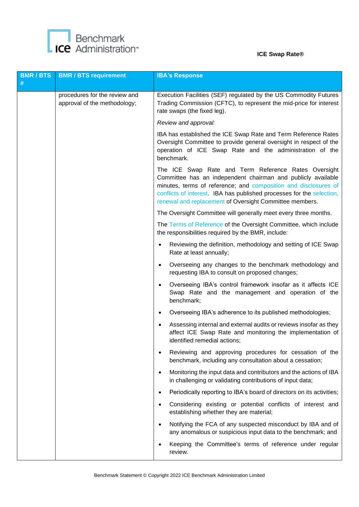

| <b>BMR/BTS</b><br># | <b>BMR / BTS requirement</b>                                  | <b>IBA's Response</b>                                                                                                                                                                                                                                                                                                       |
|---------------------|---------------------------------------------------------------|-----------------------------------------------------------------------------------------------------------------------------------------------------------------------------------------------------------------------------------------------------------------------------------------------------------------------------|
|                     | procedures for the review and<br>approval of the methodology; | Execution Facilities (SEF) regulated by the US Commodity Futures<br>Trading Commission (CFTC), to represent the mid-price for interest<br>rate swaps (the fixed leg).                                                                                                                                                       |
|                     |                                                               | Review and approval:                                                                                                                                                                                                                                                                                                        |
|                     |                                                               | IBA has established the ICE Swap Rate and Term Reference Rates<br>Oversight Committee to provide general oversight in respect of the<br>operation of ICE Swap Rate and the administration of the<br>benchmark.                                                                                                              |
|                     |                                                               | The ICE Swap Rate and Term Reference Rates Oversight<br>Committee has an independent chairman and publicly available<br>minutes, terms of reference; and composition and disclosures of<br>conflicts of interest. IBA has published processes for the selection,<br>renewal and replacement of Oversight Committee members. |
|                     |                                                               | The Oversight Committee will generally meet every three months.                                                                                                                                                                                                                                                             |
|                     |                                                               | The Terms of Reference of the Oversight Committee, which include<br>the responsibilities required by the BMR, include:                                                                                                                                                                                                      |
|                     |                                                               | Reviewing the definition, methodology and setting of ICE Swap<br>Rate at least annually;                                                                                                                                                                                                                                    |
|                     |                                                               | Overseeing any changes to the benchmark methodology and<br>$\bullet$<br>requesting IBA to consult on proposed changes;                                                                                                                                                                                                      |
|                     |                                                               | Overseeing IBA's control framework insofar as it affects ICE<br>Swap Rate and the management and operation of the<br>benchmark;                                                                                                                                                                                             |
|                     |                                                               | Overseeing IBA's adherence to its published methodologies;                                                                                                                                                                                                                                                                  |
|                     |                                                               | Assessing internal and external audits or reviews insofar as they<br>$\bullet$<br>affect ICE Swap Rate and monitoring the implementation of<br>identified remedial actions;                                                                                                                                                 |
|                     |                                                               | Reviewing and approving procedures for cessation of the<br>benchmark, including any consultation about a cessation;                                                                                                                                                                                                         |
|                     |                                                               | Monitoring the input data and contributors and the actions of IBA<br>$\bullet$<br>in challenging or validating contributions of input data;                                                                                                                                                                                 |
|                     |                                                               | Periodically reporting to IBA's board of directors on its activities;<br>$\bullet$                                                                                                                                                                                                                                          |
|                     |                                                               | Considering existing or potential conflicts of interest and<br>$\bullet$<br>establishing whether they are material;                                                                                                                                                                                                         |
|                     |                                                               | Notifying the FCA of any suspected misconduct by IBA and of<br>any anomalous or suspicious input data to the benchmark; and                                                                                                                                                                                                 |
|                     |                                                               | Keeping the Committee's terms of reference under regular<br>review.                                                                                                                                                                                                                                                         |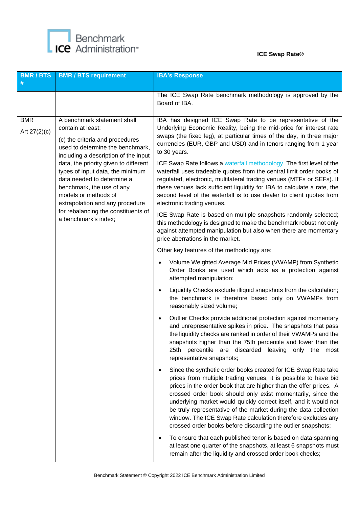

| <b>BMR/BTS</b><br>#                                                                                                                                                                                                                                                                                                                                                                                                                                               | <b>BMR / BTS requirement</b>                                                                                                                                                                                                                                                                                                                           | <b>IBA's Response</b>                                                                                                                                                                                                                                                                                                                                                                                                                                                                                                                                                                                                                                                                                                                                                                                                                                                                                                                                     |
|-------------------------------------------------------------------------------------------------------------------------------------------------------------------------------------------------------------------------------------------------------------------------------------------------------------------------------------------------------------------------------------------------------------------------------------------------------------------|--------------------------------------------------------------------------------------------------------------------------------------------------------------------------------------------------------------------------------------------------------------------------------------------------------------------------------------------------------|-----------------------------------------------------------------------------------------------------------------------------------------------------------------------------------------------------------------------------------------------------------------------------------------------------------------------------------------------------------------------------------------------------------------------------------------------------------------------------------------------------------------------------------------------------------------------------------------------------------------------------------------------------------------------------------------------------------------------------------------------------------------------------------------------------------------------------------------------------------------------------------------------------------------------------------------------------------|
|                                                                                                                                                                                                                                                                                                                                                                                                                                                                   |                                                                                                                                                                                                                                                                                                                                                        | The ICE Swap Rate benchmark methodology is approved by the<br>Board of IBA.                                                                                                                                                                                                                                                                                                                                                                                                                                                                                                                                                                                                                                                                                                                                                                                                                                                                               |
| <b>BMR</b><br>A benchmark statement shall<br>contain at least:<br>Art $27(2)(c)$<br>(c) the criteria and procedures<br>used to determine the benchmark,<br>including a description of the input<br>data, the priority given to different<br>types of input data, the minimum<br>data needed to determine a<br>benchmark, the use of any<br>models or methods of<br>extrapolation and any procedure<br>for rebalancing the constituents of<br>a benchmark's index; |                                                                                                                                                                                                                                                                                                                                                        | IBA has designed ICE Swap Rate to be representative of the<br>Underlying Economic Reality, being the mid-price for interest rate<br>swaps (the fixed leg), at particular times of the day, in three major<br>currencies (EUR, GBP and USD) and in tenors ranging from 1 year<br>to 30 years.<br>ICE Swap Rate follows a waterfall methodology. The first level of the<br>waterfall uses tradeable quotes from the central limit order books of<br>regulated, electronic, multilateral trading venues (MTFs or SEFs). If<br>these venues lack sufficient liquidity for IBA to calculate a rate, the<br>second level of the waterfall is to use dealer to client quotes from<br>electronic trading venues.<br>ICE Swap Rate is based on multiple snapshots randomly selected;<br>this methodology is designed to make the benchmark robust not only<br>against attempted manipulation but also when there are momentary<br>price aberrations in the market. |
|                                                                                                                                                                                                                                                                                                                                                                                                                                                                   | Other key features of the methodology are:<br>Volume Weighted Average Mid Prices (VWAMP) from Synthetic<br>Order Books are used which acts as a protection against<br>attempted manipulation;<br>Liquidity Checks exclude illiquid snapshots from the calculation;<br>the benchmark is therefore based only on VWAMPs from<br>reasonably sized volume; |                                                                                                                                                                                                                                                                                                                                                                                                                                                                                                                                                                                                                                                                                                                                                                                                                                                                                                                                                           |
|                                                                                                                                                                                                                                                                                                                                                                                                                                                                   |                                                                                                                                                                                                                                                                                                                                                        | Outlier Checks provide additional protection against momentary<br>$\bullet$<br>and unrepresentative spikes in price. The snapshots that pass<br>the liquidity checks are ranked in order of their VWAMPs and the<br>snapshots higher than the 75th percentile and lower than the<br>25th<br>percentile<br>discarded<br>leaving only the<br>are<br>most<br>representative snapshots;                                                                                                                                                                                                                                                                                                                                                                                                                                                                                                                                                                       |
|                                                                                                                                                                                                                                                                                                                                                                                                                                                                   |                                                                                                                                                                                                                                                                                                                                                        | Since the synthetic order books created for ICE Swap Rate take<br>$\bullet$<br>prices from multiple trading venues, it is possible to have bid<br>prices in the order book that are higher than the offer prices. A<br>crossed order book should only exist momentarily, since the<br>underlying market would quickly correct itself, and it would not<br>be truly representative of the market during the data collection<br>window. The ICE Swap Rate calculation therefore excludes any<br>crossed order books before discarding the outlier snapshots;                                                                                                                                                                                                                                                                                                                                                                                                |
|                                                                                                                                                                                                                                                                                                                                                                                                                                                                   |                                                                                                                                                                                                                                                                                                                                                        | To ensure that each published tenor is based on data spanning<br>$\bullet$<br>at least one quarter of the snapshots, at least 6 snapshots must<br>remain after the liquidity and crossed order book checks;                                                                                                                                                                                                                                                                                                                                                                                                                                                                                                                                                                                                                                                                                                                                               |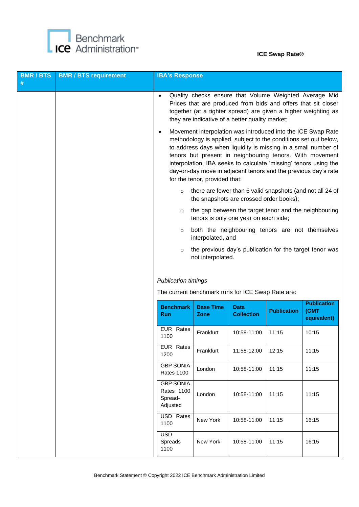

| <b>BMR/BTS</b><br># | <b>BMR / BTS requirement</b> | <b>IBA's Response</b>                                                           |                                 |                                                 |                    |                                                                                                                                                                                                                                                                                                                                                                                                                                                                                                                                                                                                   |
|---------------------|------------------------------|---------------------------------------------------------------------------------|---------------------------------|-------------------------------------------------|--------------------|---------------------------------------------------------------------------------------------------------------------------------------------------------------------------------------------------------------------------------------------------------------------------------------------------------------------------------------------------------------------------------------------------------------------------------------------------------------------------------------------------------------------------------------------------------------------------------------------------|
|                     |                              | $\bullet$                                                                       |                                 | they are indicative of a better quality market; |                    | Quality checks ensure that Volume Weighted Average Mid<br>Prices that are produced from bids and offers that sit closer<br>together (at a tighter spread) are given a higher weighting as<br>Movement interpolation was introduced into the ICE Swap Rate<br>methodology is applied, subject to the conditions set out below,<br>to address days when liquidity is missing in a small number of<br>tenors but present in neighbouring tenors. With movement<br>interpolation, IBA seeks to calculate 'missing' tenors using the<br>day-on-day move in adjacent tenors and the previous day's rate |
|                     |                              |                                                                                 | for the tenor, provided that:   |                                                 |                    |                                                                                                                                                                                                                                                                                                                                                                                                                                                                                                                                                                                                   |
|                     |                              | $\circ$                                                                         |                                 | the snapshots are crossed order books);         |                    | there are fewer than 6 valid snapshots (and not all 24 of                                                                                                                                                                                                                                                                                                                                                                                                                                                                                                                                         |
|                     |                              | $\circ$                                                                         |                                 | tenors is only one year on each side;           |                    | the gap between the target tenor and the neighbouring                                                                                                                                                                                                                                                                                                                                                                                                                                                                                                                                             |
|                     |                              | $\circ$                                                                         | interpolated, and               |                                                 |                    | both the neighbouring tenors are not themselves                                                                                                                                                                                                                                                                                                                                                                                                                                                                                                                                                   |
|                     |                              | $\circ$                                                                         | not interpolated.               |                                                 |                    | the previous day's publication for the target tenor was                                                                                                                                                                                                                                                                                                                                                                                                                                                                                                                                           |
|                     |                              | <b>Publication timings</b><br>The current benchmark runs for ICE Swap Rate are: |                                 |                                                 |                    |                                                                                                                                                                                                                                                                                                                                                                                                                                                                                                                                                                                                   |
|                     |                              | <b>Benchmark</b><br><b>Run</b>                                                  | <b>Base Time</b><br><b>Zone</b> | <b>Data</b><br><b>Collection</b>                | <b>Publication</b> | <b>Publication</b><br>(GMT<br>equivalent)                                                                                                                                                                                                                                                                                                                                                                                                                                                                                                                                                         |
|                     |                              | <b>EUR</b> Rates<br>1100                                                        | Frankfurt                       | 10:58-11:00                                     | 11:15              | 10:15                                                                                                                                                                                                                                                                                                                                                                                                                                                                                                                                                                                             |
|                     |                              | EUR Rates<br>1200                                                               | Frankfurt                       | 11:58-12:00                                     | 12:15              | 11:15                                                                                                                                                                                                                                                                                                                                                                                                                                                                                                                                                                                             |
|                     |                              | <b>GBP SONIA</b><br><b>Rates 1100</b>                                           | London                          | 10:58-11:00                                     | 11;15              | 11:15                                                                                                                                                                                                                                                                                                                                                                                                                                                                                                                                                                                             |
|                     |                              | <b>GBP SONIA</b><br><b>Rates 1100</b><br>Spread-<br>Adjusted                    | London                          | 10:58-11:00                                     | 11;15              | 11:15                                                                                                                                                                                                                                                                                                                                                                                                                                                                                                                                                                                             |
|                     |                              | USD Rates<br>1100                                                               | New York                        | 10:58-11:00                                     | 11:15              | 16:15                                                                                                                                                                                                                                                                                                                                                                                                                                                                                                                                                                                             |
|                     |                              | <b>USD</b><br>Spreads<br>1100                                                   | New York                        | 10:58-11:00                                     | 11:15              | 16:15                                                                                                                                                                                                                                                                                                                                                                                                                                                                                                                                                                                             |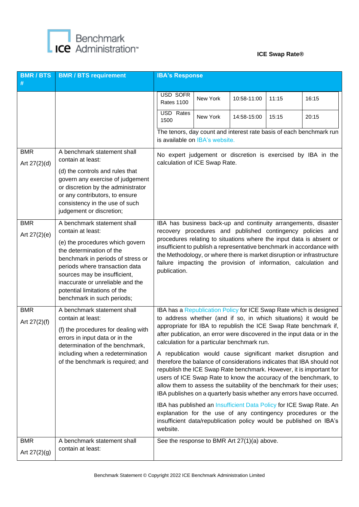

| <b>BMR/BTS</b><br>#          | <b>BMR / BTS requirement</b>                                                                                                                                                                                                                                                                                             | <b>IBA's Response</b>                                                                                                                                                                                                                                              |          |             |       |                                                                                                                                                                                                                                                                                                                                                                                                                                                                                                                                                                                                                                                                                                                              |
|------------------------------|--------------------------------------------------------------------------------------------------------------------------------------------------------------------------------------------------------------------------------------------------------------------------------------------------------------------------|--------------------------------------------------------------------------------------------------------------------------------------------------------------------------------------------------------------------------------------------------------------------|----------|-------------|-------|------------------------------------------------------------------------------------------------------------------------------------------------------------------------------------------------------------------------------------------------------------------------------------------------------------------------------------------------------------------------------------------------------------------------------------------------------------------------------------------------------------------------------------------------------------------------------------------------------------------------------------------------------------------------------------------------------------------------------|
|                              |                                                                                                                                                                                                                                                                                                                          | USD SOFR<br><b>Rates 1100</b>                                                                                                                                                                                                                                      | New York | 10:58-11:00 | 11:15 | 16:15                                                                                                                                                                                                                                                                                                                                                                                                                                                                                                                                                                                                                                                                                                                        |
|                              |                                                                                                                                                                                                                                                                                                                          | USD Rates<br>1500                                                                                                                                                                                                                                                  | New York | 14:58-15:00 | 15:15 | 20:15                                                                                                                                                                                                                                                                                                                                                                                                                                                                                                                                                                                                                                                                                                                        |
|                              |                                                                                                                                                                                                                                                                                                                          | is available on IBA's website.                                                                                                                                                                                                                                     |          |             |       | The tenors, day count and interest rate basis of each benchmark run                                                                                                                                                                                                                                                                                                                                                                                                                                                                                                                                                                                                                                                          |
| <b>BMR</b><br>Art 27(2)(d)   | A benchmark statement shall<br>contain at least:<br>(d) the controls and rules that<br>govern any exercise of judgement<br>or discretion by the administrator<br>or any contributors, to ensure<br>consistency in the use of such<br>judgement or discretion;                                                            | calculation of ICE Swap Rate.                                                                                                                                                                                                                                      |          |             |       | No expert judgement or discretion is exercised by IBA in the                                                                                                                                                                                                                                                                                                                                                                                                                                                                                                                                                                                                                                                                 |
| <b>BMR</b><br>Art 27(2)(e)   | A benchmark statement shall<br>contain at least:<br>(e) the procedures which govern<br>the determination of the<br>benchmark in periods of stress or<br>periods where transaction data<br>sources may be insufficient,<br>inaccurate or unreliable and the<br>potential limitations of the<br>benchmark in such periods; | failure impacting the provision of information, calculation and<br>publication.                                                                                                                                                                                    |          |             |       | IBA has business back-up and continuity arrangements, disaster<br>recovery procedures and published contingency policies and<br>procedures relating to situations where the input data is absent or<br>insufficient to publish a representative benchmark in accordance with<br>the Methodology, or where there is market disruption or infrastructure                                                                                                                                                                                                                                                                                                                                                                       |
| <b>BMR</b><br>Art $27(2)(f)$ | A benchmark statement shall<br>contain at least:<br>(f) the procedures for dealing with<br>errors in input data or in the<br>determination of the benchmark,<br>including when a redetermination<br>of the benchmark is required; and                                                                                    | to address whether (and if so, in which situations) it would be<br>appropriate for IBA to republish the ICE Swap Rate benchmark if,<br>calculation for a particular benchmark run.<br>users of ICE Swap Rate to know the accuracy of the benchmark, to<br>website. |          |             |       | IBA has a Republication Policy for ICE Swap Rate which is designed<br>after publication, an error were discovered in the input data or in the<br>A republication would cause significant market disruption and<br>therefore the balance of considerations indicates that IBA should not<br>republish the ICE Swap Rate benchmark. However, it is important for<br>allow them to assess the suitability of the benchmark for their uses;<br>IBA publishes on a quarterly basis whether any errors have occurred.<br>IBA has published an Insufficient Data Policy for ICE Swap Rate. An<br>explanation for the use of any contingency procedures or the<br>insufficient data/republication policy would be published on IBA's |
| <b>BMR</b><br>Art 27(2)(g)   | A benchmark statement shall<br>contain at least:                                                                                                                                                                                                                                                                         | See the response to BMR Art 27(1)(a) above.                                                                                                                                                                                                                        |          |             |       |                                                                                                                                                                                                                                                                                                                                                                                                                                                                                                                                                                                                                                                                                                                              |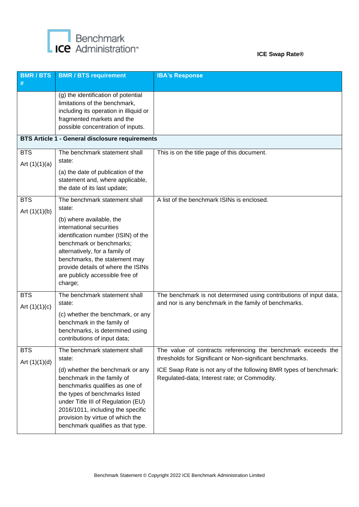

| <b>BMR/BTS</b><br>#           | <b>BMR / BTS requirement</b>                                                                                                                                                                                                                                                                                                      | <b>IBA's Response</b>                                                                                                                                                                                                                          |
|-------------------------------|-----------------------------------------------------------------------------------------------------------------------------------------------------------------------------------------------------------------------------------------------------------------------------------------------------------------------------------|------------------------------------------------------------------------------------------------------------------------------------------------------------------------------------------------------------------------------------------------|
|                               | (g) the identification of potential<br>limitations of the benchmark,<br>including its operation in illiquid or<br>fragmented markets and the<br>possible concentration of inputs.                                                                                                                                                 |                                                                                                                                                                                                                                                |
|                               | <b>BTS Article 1 - General disclosure requirements</b>                                                                                                                                                                                                                                                                            |                                                                                                                                                                                                                                                |
| <b>BTS</b><br>Art $(1)(1)(a)$ | The benchmark statement shall<br>state:<br>(a) the date of publication of the<br>statement and, where applicable,<br>the date of its last update;                                                                                                                                                                                 | This is on the title page of this document.                                                                                                                                                                                                    |
| <b>BTS</b><br>Art $(1)(1)(b)$ | The benchmark statement shall<br>state:                                                                                                                                                                                                                                                                                           | A list of the benchmark ISINs is enclosed.                                                                                                                                                                                                     |
|                               | (b) where available, the<br>international securities<br>identification number (ISIN) of the<br>benchmark or benchmarks;<br>alternatively, for a family of<br>benchmarks, the statement may<br>provide details of where the ISINs<br>are publicly accessible free of<br>charge;                                                    |                                                                                                                                                                                                                                                |
| <b>BTS</b><br>Art $(1)(1)(c)$ | The benchmark statement shall<br>state:<br>(c) whether the benchmark, or any<br>benchmark in the family of<br>benchmarks, is determined using<br>contributions of input data;                                                                                                                                                     | The benchmark is not determined using contributions of input data,<br>and nor is any benchmark in the family of benchmarks.                                                                                                                    |
| <b>BTS</b><br>Art $(1)(1)(d)$ | The benchmark statement shall<br>state:<br>(d) whether the benchmark or any<br>benchmark in the family of<br>benchmarks qualifies as one of<br>the types of benchmarks listed<br>under Title III of Regulation (EU)<br>2016/1011, including the specific<br>provision by virtue of which the<br>benchmark qualifies as that type. | The value of contracts referencing the benchmark exceeds the<br>thresholds for Significant or Non-significant benchmarks.<br>ICE Swap Rate is not any of the following BMR types of benchmark:<br>Regulated-data; Interest rate; or Commodity. |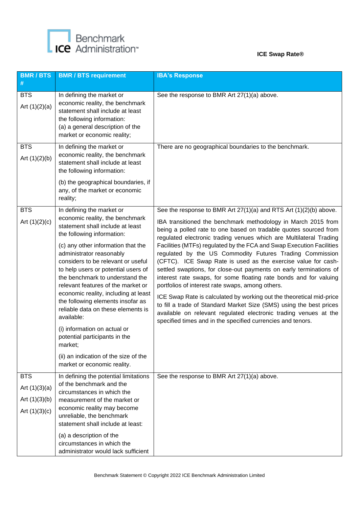

| <b>BMR/BTS</b><br>#                                                 | <b>BMR / BTS requirement</b>                                                                                                                                                                                                                                                                                                                                                                                                                                                                                                                                                                                                                | <b>IBA's Response</b>                                                                                                                                                                                                                                                                                                                                                                                                                                                                                                                                                                                                                                                                                                                                                                                                                                                                                                                                              |
|---------------------------------------------------------------------|---------------------------------------------------------------------------------------------------------------------------------------------------------------------------------------------------------------------------------------------------------------------------------------------------------------------------------------------------------------------------------------------------------------------------------------------------------------------------------------------------------------------------------------------------------------------------------------------------------------------------------------------|--------------------------------------------------------------------------------------------------------------------------------------------------------------------------------------------------------------------------------------------------------------------------------------------------------------------------------------------------------------------------------------------------------------------------------------------------------------------------------------------------------------------------------------------------------------------------------------------------------------------------------------------------------------------------------------------------------------------------------------------------------------------------------------------------------------------------------------------------------------------------------------------------------------------------------------------------------------------|
| <b>BTS</b><br>Art $(1)(2)(a)$                                       | In defining the market or<br>economic reality, the benchmark<br>statement shall include at least<br>the following information:<br>(a) a general description of the<br>market or economic reality;                                                                                                                                                                                                                                                                                                                                                                                                                                           | See the response to BMR Art 27(1)(a) above.                                                                                                                                                                                                                                                                                                                                                                                                                                                                                                                                                                                                                                                                                                                                                                                                                                                                                                                        |
| <b>BTS</b><br>Art $(1)(2)(b)$                                       | In defining the market or<br>economic reality, the benchmark<br>statement shall include at least<br>the following information:<br>(b) the geographical boundaries, if<br>any, of the market or economic<br>reality;                                                                                                                                                                                                                                                                                                                                                                                                                         | There are no geographical boundaries to the benchmark.                                                                                                                                                                                                                                                                                                                                                                                                                                                                                                                                                                                                                                                                                                                                                                                                                                                                                                             |
| <b>BTS</b><br>Art $(1)(2)(c)$                                       | In defining the market or<br>economic reality, the benchmark<br>statement shall include at least<br>the following information:<br>(c) any other information that the<br>administrator reasonably<br>considers to be relevant or useful<br>to help users or potential users of<br>the benchmark to understand the<br>relevant features of the market or<br>economic reality, including at least<br>the following elements insofar as<br>reliable data on these elements is<br>available:<br>(i) information on actual or<br>potential participants in the<br>market;<br>(ii) an indication of the size of the<br>market or economic reality. | See the response to BMR Art 27(1)(a) and RTS Art (1)(2)(b) above.<br>IBA transitioned the benchmark methodology in March 2015 from<br>being a polled rate to one based on tradable quotes sourced from<br>regulated electronic trading venues which are Multilateral Trading<br>Facilities (MTFs) regulated by the FCA and Swap Execution Facilities<br>regulated by the US Commodity Futures Trading Commission<br>(CFTC). ICE Swap Rate is used as the exercise value for cash-<br>settled swaptions, for close-out payments on early terminations of<br>interest rate swaps, for some floating rate bonds and for valuing<br>portfolios of interest rate swaps, among others.<br>ICE Swap Rate is calculated by working out the theoretical mid-price<br>to fill a trade of Standard Market Size (SMS) using the best prices<br>available on relevant regulated electronic trading venues at the<br>specified times and in the specified currencies and tenors. |
| <b>BTS</b><br>Art $(1)(3)(a)$<br>Art $(1)(3)(b)$<br>Art $(1)(3)(c)$ | In defining the potential limitations<br>of the benchmark and the<br>circumstances in which the<br>measurement of the market or<br>economic reality may become<br>unreliable, the benchmark<br>statement shall include at least:<br>(a) a description of the<br>circumstances in which the<br>administrator would lack sufficient                                                                                                                                                                                                                                                                                                           | See the response to BMR Art 27(1)(a) above.                                                                                                                                                                                                                                                                                                                                                                                                                                                                                                                                                                                                                                                                                                                                                                                                                                                                                                                        |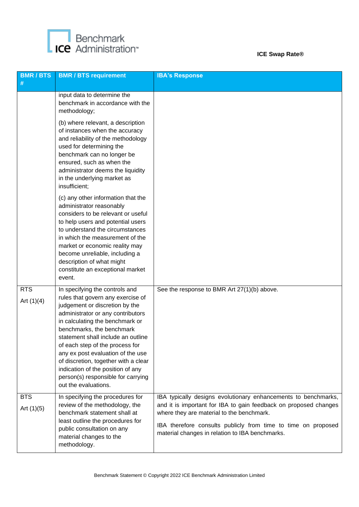

| <b>BMR/BTS</b><br>#        | <b>BMR / BTS requirement</b>                                                                                                                                                                                                                                                                                                                                                                                                                                        | <b>IBA's Response</b>                                                                                                                                                                                                                                                                               |
|----------------------------|---------------------------------------------------------------------------------------------------------------------------------------------------------------------------------------------------------------------------------------------------------------------------------------------------------------------------------------------------------------------------------------------------------------------------------------------------------------------|-----------------------------------------------------------------------------------------------------------------------------------------------------------------------------------------------------------------------------------------------------------------------------------------------------|
|                            | input data to determine the<br>benchmark in accordance with the<br>methodology;                                                                                                                                                                                                                                                                                                                                                                                     |                                                                                                                                                                                                                                                                                                     |
|                            | (b) where relevant, a description<br>of instances when the accuracy<br>and reliability of the methodology<br>used for determining the<br>benchmark can no longer be<br>ensured, such as when the<br>administrator deems the liquidity<br>in the underlying market as<br>insufficient;                                                                                                                                                                               |                                                                                                                                                                                                                                                                                                     |
|                            | (c) any other information that the<br>administrator reasonably<br>considers to be relevant or useful<br>to help users and potential users<br>to understand the circumstances<br>in which the measurement of the<br>market or economic reality may<br>become unreliable, including a<br>description of what might<br>constitute an exceptional market<br>event.                                                                                                      |                                                                                                                                                                                                                                                                                                     |
| <b>RTS</b><br>Art $(1)(4)$ | In specifying the controls and<br>rules that govern any exercise of<br>judgement or discretion by the<br>administrator or any contributors<br>in calculating the benchmark or<br>benchmarks, the benchmark<br>statement shall include an outline<br>of each step of the process for<br>any ex post evaluation of the use<br>of discretion, together with a clear<br>indication of the position of any<br>person(s) responsible for carrying<br>out the evaluations. | See the response to BMR Art 27(1)(b) above.                                                                                                                                                                                                                                                         |
| <b>BTS</b><br>Art $(1)(5)$ | In specifying the procedures for<br>review of the methodology, the<br>benchmark statement shall at<br>least outline the procedures for<br>public consultation on any<br>material changes to the<br>methodology.                                                                                                                                                                                                                                                     | IBA typically designs evolutionary enhancements to benchmarks,<br>and it is important for IBA to gain feedback on proposed changes<br>where they are material to the benchmark.<br>IBA therefore consults publicly from time to time on proposed<br>material changes in relation to IBA benchmarks. |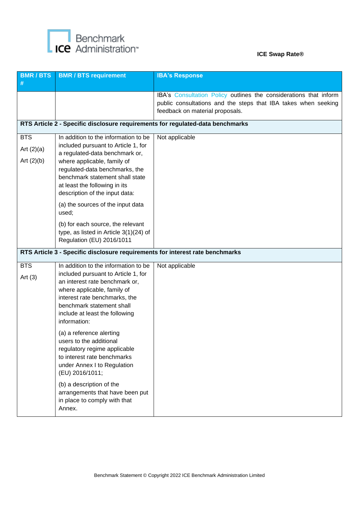

| <b>BMR/BTS</b><br>#                        | <b>BMR / BTS requirement</b>                                                                                                                                                                                                                                                         | <b>IBA's Response</b>                                                                                                                                                  |
|--------------------------------------------|--------------------------------------------------------------------------------------------------------------------------------------------------------------------------------------------------------------------------------------------------------------------------------------|------------------------------------------------------------------------------------------------------------------------------------------------------------------------|
|                                            |                                                                                                                                                                                                                                                                                      | IBA's Consultation Policy outlines the considerations that inform<br>public consultations and the steps that IBA takes when seeking<br>feedback on material proposals. |
|                                            | RTS Article 2 - Specific disclosure requirements for regulated-data benchmarks                                                                                                                                                                                                       |                                                                                                                                                                        |
| <b>BTS</b><br>Art $(2)(a)$<br>Art $(2)(b)$ | In addition to the information to be<br>included pursuant to Article 1, for<br>a regulated-data benchmark or,<br>where applicable, family of<br>regulated-data benchmarks, the<br>benchmark statement shall state<br>at least the following in its<br>description of the input data: | Not applicable                                                                                                                                                         |
|                                            | (a) the sources of the input data<br>used;<br>(b) for each source, the relevant<br>type, as listed in Article 3(1)(24) of<br>Regulation (EU) 2016/1011                                                                                                                               |                                                                                                                                                                        |
|                                            | RTS Article 3 - Specific disclosure requirements for interest rate benchmarks                                                                                                                                                                                                        |                                                                                                                                                                        |
| <b>BTS</b><br>Art $(3)$                    | In addition to the information to be<br>included pursuant to Article 1, for<br>an interest rate benchmark or,<br>where applicable, family of<br>interest rate benchmarks, the<br>benchmark statement shall<br>include at least the following<br>information:                         | Not applicable                                                                                                                                                         |
|                                            | (a) a reference alerting<br>users to the additional<br>regulatory regime applicable<br>to interest rate benchmarks<br>under Annex I to Regulation<br>(EU) 2016/1011;                                                                                                                 |                                                                                                                                                                        |
|                                            | (b) a description of the<br>arrangements that have been put<br>in place to comply with that<br>Annex.                                                                                                                                                                                |                                                                                                                                                                        |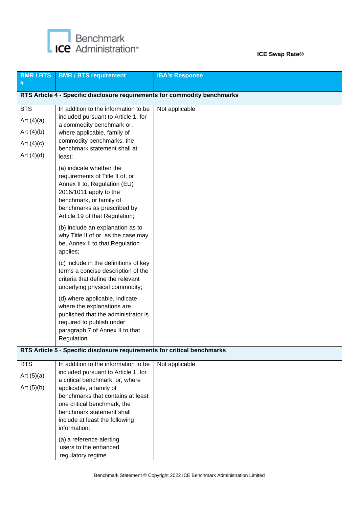

| <b>BMR/BTS</b><br>#                                                        | <b>BMR / BTS requirement</b>                                                                                                                                                                                                                                                                                                                                                                                                                                            | <b>IBA's Response</b> |
|----------------------------------------------------------------------------|-------------------------------------------------------------------------------------------------------------------------------------------------------------------------------------------------------------------------------------------------------------------------------------------------------------------------------------------------------------------------------------------------------------------------------------------------------------------------|-----------------------|
|                                                                            | RTS Article 4 - Specific disclosure requirements for commodity benchmarks                                                                                                                                                                                                                                                                                                                                                                                               |                       |
| <b>BTS</b><br>Art $(4)(a)$<br>Art $(4)(b)$<br>Art $(4)(c)$<br>Art $(4)(d)$ | In addition to the information to be<br>included pursuant to Article 1, for<br>a commodity benchmark or,<br>where applicable, family of<br>commodity benchmarks, the<br>benchmark statement shall at<br>least:<br>(a) indicate whether the<br>requirements of Title II of, or<br>Annex II to, Regulation (EU)<br>2016/1011 apply to the<br>benchmark, or family of<br>benchmarks as prescribed by<br>Article 19 of that Regulation;<br>(b) include an explanation as to | Not applicable        |
|                                                                            | why Title II of or, as the case may<br>be, Annex II to that Regulation<br>applies;<br>(c) include in the definitions of key<br>terms a concise description of the<br>criteria that define the relevant<br>underlying physical commodity;<br>(d) where applicable, indicate<br>where the explanations are<br>published that the administrator is<br>required to publish under<br>paragraph 7 of Annex II to that<br>Regulation.                                          |                       |
|                                                                            | RTS Article 5 - Specific disclosure requirements for critical benchmarks                                                                                                                                                                                                                                                                                                                                                                                                |                       |
| <b>RTS</b><br>Art $(5)(a)$<br>Art $(5)(b)$                                 | In addition to the information to be<br>included pursuant to Article 1, for<br>a critical benchmark, or, where<br>applicable, a family of<br>benchmarks that contains at least<br>one critical benchmark, the<br>benchmark statement shall<br>include at least the following<br>information:<br>(a) a reference alerting                                                                                                                                                | Not applicable        |
|                                                                            | users to the enhanced<br>regulatory regime                                                                                                                                                                                                                                                                                                                                                                                                                              |                       |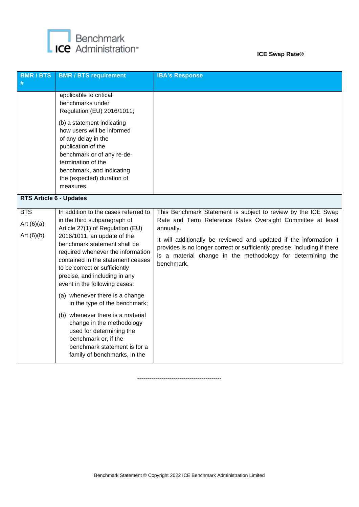

| <b>BMR/BTS</b><br>#                        | <b>BMR / BTS requirement</b>                                                                                                                                                                                                                                                                                                                         | <b>IBA's Response</b>                                                                                                                                                                                                                                                                                                                                                    |
|--------------------------------------------|------------------------------------------------------------------------------------------------------------------------------------------------------------------------------------------------------------------------------------------------------------------------------------------------------------------------------------------------------|--------------------------------------------------------------------------------------------------------------------------------------------------------------------------------------------------------------------------------------------------------------------------------------------------------------------------------------------------------------------------|
|                                            | applicable to critical<br>benchmarks under<br>Regulation (EU) 2016/1011;<br>(b) a statement indicating                                                                                                                                                                                                                                               |                                                                                                                                                                                                                                                                                                                                                                          |
|                                            | how users will be informed<br>of any delay in the<br>publication of the<br>benchmark or of any re-de-<br>termination of the<br>benchmark, and indicating<br>the (expected) duration of<br>measures.                                                                                                                                                  |                                                                                                                                                                                                                                                                                                                                                                          |
| <b>RTS Article 6 - Updates</b>             |                                                                                                                                                                                                                                                                                                                                                      |                                                                                                                                                                                                                                                                                                                                                                          |
| <b>BTS</b><br>Art $(6)(a)$<br>Art $(6)(b)$ | In addition to the cases referred to<br>in the third subparagraph of<br>Article 27(1) of Regulation (EU)<br>2016/1011, an update of the<br>benchmark statement shall be<br>required whenever the information<br>contained in the statement ceases<br>to be correct or sufficiently<br>precise, and including in any<br>event in the following cases: | This Benchmark Statement is subject to review by the ICE Swap<br>Rate and Term Reference Rates Oversight Committee at least<br>annually.<br>It will additionally be reviewed and updated if the information it<br>provides is no longer correct or sufficiently precise, including if there<br>is a material change in the methodology for determining the<br>benchmark. |
|                                            | (a) whenever there is a change<br>in the type of the benchmark;<br>(b) whenever there is a material<br>change in the methodology<br>used for determining the<br>benchmark or, if the<br>benchmark statement is for a<br>family of benchmarks, in the                                                                                                 |                                                                                                                                                                                                                                                                                                                                                                          |

------------------------------------------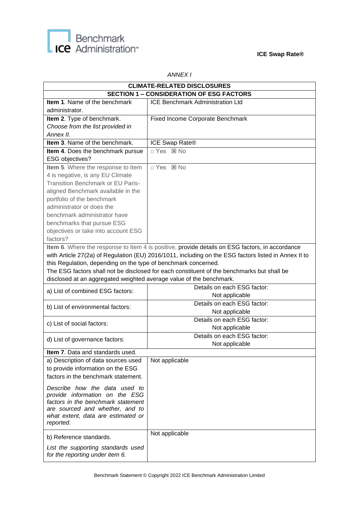



#### *ANNEX I*

| <b>CLIMATE-RELATED DISCLOSURES</b>                                  |                                                                                                      |  |  |  |
|---------------------------------------------------------------------|------------------------------------------------------------------------------------------------------|--|--|--|
| <b>SECTION 1 - CONSIDERATION OF ESG FACTORS</b>                     |                                                                                                      |  |  |  |
| Item 1. Name of the benchmark                                       | <b>ICE Benchmark Administration Ltd</b>                                                              |  |  |  |
| administrator.                                                      |                                                                                                      |  |  |  |
| Item 2. Type of benchmark.                                          | Fixed Income Corporate Benchmark                                                                     |  |  |  |
| Choose from the list provided in                                    |                                                                                                      |  |  |  |
| Annex II.                                                           |                                                                                                      |  |  |  |
| Item 3. Name of the benchmark.                                      | ICE Swap Rate®                                                                                       |  |  |  |
| Item 4. Does the benchmark pursue                                   | □ Yes ⊠ No                                                                                           |  |  |  |
| ESG objectives?                                                     |                                                                                                      |  |  |  |
| Item 5. Where the response to Item                                  | □ Yes ⊠ No                                                                                           |  |  |  |
| 4 is negative, is any EU Climate                                    |                                                                                                      |  |  |  |
| <b>Transition Benchmark or EU Paris-</b>                            |                                                                                                      |  |  |  |
| aligned Benchmark available in the                                  |                                                                                                      |  |  |  |
| portfolio of the benchmark                                          |                                                                                                      |  |  |  |
| administrator or does the                                           |                                                                                                      |  |  |  |
| benchmark administrator have                                        |                                                                                                      |  |  |  |
| benchmarks that pursue ESG                                          |                                                                                                      |  |  |  |
| objectives or take into account ESG                                 |                                                                                                      |  |  |  |
| factors?                                                            |                                                                                                      |  |  |  |
|                                                                     | Item 6. Where the response to Item 4 is positive, provide details on ESG factors, in accordance      |  |  |  |
|                                                                     | with Article 27(2a) of Regulation (EU) 2016/1011, including on the ESG factors listed in Annex II to |  |  |  |
| this Regulation, depending on the type of benchmark concerned.      |                                                                                                      |  |  |  |
|                                                                     | The ESG factors shall not be disclosed for each constituent of the benchmarks but shall be           |  |  |  |
| disclosed at an aggregated weighted average value of the benchmark. |                                                                                                      |  |  |  |
| a) List of combined ESG factors:                                    | Details on each ESG factor:                                                                          |  |  |  |
|                                                                     | Not applicable                                                                                       |  |  |  |
| b) List of environmental factors:                                   | Details on each ESG factor:                                                                          |  |  |  |
|                                                                     | Not applicable                                                                                       |  |  |  |
| c) List of social factors:                                          | Details on each ESG factor:                                                                          |  |  |  |
|                                                                     | Not applicable                                                                                       |  |  |  |
| d) List of governance factors:                                      | Details on each ESG factor:                                                                          |  |  |  |
|                                                                     | Not applicable                                                                                       |  |  |  |
| Item 7. Data and standards used.                                    |                                                                                                      |  |  |  |
| a) Description of data sources used                                 | Not applicable                                                                                       |  |  |  |
| to provide information on the ESG                                   |                                                                                                      |  |  |  |
| factors in the benchmark statement.                                 |                                                                                                      |  |  |  |
| Describe how the data used to                                       |                                                                                                      |  |  |  |
| provide information on the ESG                                      |                                                                                                      |  |  |  |
| factors in the benchmark statement                                  |                                                                                                      |  |  |  |
| are sourced and whether, and to                                     |                                                                                                      |  |  |  |
| what extent, data are estimated or                                  |                                                                                                      |  |  |  |
| reported.                                                           |                                                                                                      |  |  |  |
| b) Reference standards.                                             | Not applicable                                                                                       |  |  |  |
|                                                                     |                                                                                                      |  |  |  |
| List the supporting standards used                                  |                                                                                                      |  |  |  |
| for the reporting under item 6.                                     |                                                                                                      |  |  |  |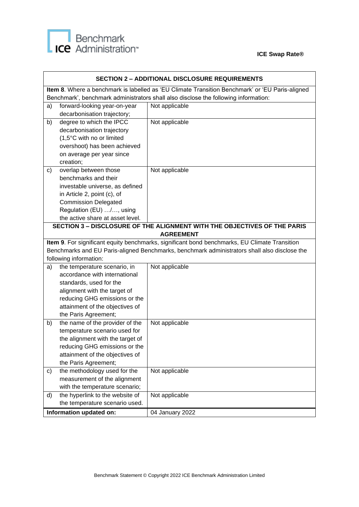

| <b>SECTION 2 - ADDITIONAL DISCLOSURE REQUIREMENTS</b> |                                                                   |                                                                                                 |
|-------------------------------------------------------|-------------------------------------------------------------------|-------------------------------------------------------------------------------------------------|
|                                                       |                                                                   | Item 8. Where a benchmark is labelled as 'EU Climate Transition Benchmark' or 'EU Paris-aligned |
|                                                       |                                                                   | Benchmark', benchmark administrators shall also disclose the following information:             |
| a)                                                    | forward-looking year-on-year                                      | Not applicable                                                                                  |
|                                                       | decarbonisation trajectory;                                       |                                                                                                 |
| b)                                                    | degree to which the IPCC                                          | Not applicable                                                                                  |
|                                                       | decarbonisation trajectory                                        |                                                                                                 |
|                                                       | (1,5°C with no or limited                                         |                                                                                                 |
|                                                       | overshoot) has been achieved                                      |                                                                                                 |
|                                                       | on average per year since                                         |                                                                                                 |
| creation;                                             |                                                                   |                                                                                                 |
| C)                                                    | overlap between those                                             | Not applicable                                                                                  |
|                                                       | benchmarks and their                                              |                                                                                                 |
|                                                       | investable universe, as defined                                   |                                                                                                 |
|                                                       | in Article 2, point (c), of                                       |                                                                                                 |
|                                                       | <b>Commission Delegated</b>                                       |                                                                                                 |
|                                                       | Regulation (EU) /, using                                          |                                                                                                 |
|                                                       | the active share at asset level.                                  |                                                                                                 |
|                                                       |                                                                   | <b>SECTION 3 - DISCLOSURE OF THE ALIGNMENT WITH THE OBJECTIVES OF THE PARIS</b>                 |
|                                                       |                                                                   | <b>AGREEMENT</b>                                                                                |
|                                                       |                                                                   | Item 9. For significant equity benchmarks, significant bond benchmarks, EU Climate Transition   |
|                                                       |                                                                   | Benchmarks and EU Paris-aligned Benchmarks, benchmark administrators shall also disclose the    |
| following information:                                |                                                                   |                                                                                                 |
| a)                                                    | the temperature scenario, in                                      | Not applicable                                                                                  |
|                                                       | accordance with international                                     |                                                                                                 |
|                                                       | standards, used for the                                           |                                                                                                 |
|                                                       | alignment with the target of                                      |                                                                                                 |
|                                                       | reducing GHG emissions or the                                     |                                                                                                 |
|                                                       | attainment of the objectives of                                   |                                                                                                 |
|                                                       | the Paris Agreement;<br>the name of the provider of the           |                                                                                                 |
| b)                                                    |                                                                   | Not applicable                                                                                  |
|                                                       | temperature scenario used for                                     |                                                                                                 |
|                                                       | the alignment with the target of<br>reducing GHG emissions or the |                                                                                                 |
|                                                       | attainment of the objectives of                                   |                                                                                                 |
|                                                       | the Paris Agreement;                                              |                                                                                                 |
| c)                                                    | the methodology used for the                                      | Not applicable                                                                                  |
|                                                       | measurement of the alignment                                      |                                                                                                 |
|                                                       | with the temperature scenario;                                    |                                                                                                 |
| d)                                                    | the hyperlink to the website of                                   | Not applicable                                                                                  |
|                                                       | the temperature scenario used.                                    |                                                                                                 |
|                                                       | Information updated on:                                           |                                                                                                 |
|                                                       |                                                                   | 04 January 2022                                                                                 |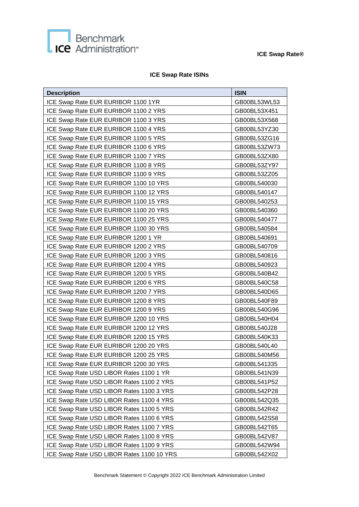

#### **ICE Swap Rate ISINs**

| <b>Description</b>                        | <b>ISIN</b>  |
|-------------------------------------------|--------------|
| ICE Swap Rate EUR EURIBOR 1100 1YR        | GB00BL53WL53 |
| ICE Swap Rate EUR EURIBOR 1100 2 YRS      | GB00BL53X451 |
| ICE Swap Rate EUR EURIBOR 1100 3 YRS      | GB00BL53X568 |
| ICE Swap Rate EUR EURIBOR 1100 4 YRS      | GB00BL53YZ30 |
| ICE Swap Rate EUR EURIBOR 1100 5 YRS      | GB00BL53ZG16 |
| ICE Swap Rate EUR EURIBOR 1100 6 YRS      | GB00BL53ZW73 |
| ICE Swap Rate EUR EURIBOR 1100 7 YRS      | GB00BL53ZX80 |
| ICE Swap Rate EUR EURIBOR 1100 8 YRS      | GB00BL53ZY97 |
| ICE Swap Rate EUR EURIBOR 1100 9 YRS      | GB00BL53ZZ05 |
| ICE Swap Rate EUR EURIBOR 1100 10 YRS     | GB00BL540030 |
| ICE Swap Rate EUR EURIBOR 1100 12 YRS     | GB00BL540147 |
| ICE Swap Rate EUR EURIBOR 1100 15 YRS     | GB00BL540253 |
| ICE Swap Rate EUR EURIBOR 1100 20 YRS     | GB00BL540360 |
| ICE Swap Rate EUR EURIBOR 1100 25 YRS     | GB00BL540477 |
| ICE Swap Rate EUR EURIBOR 1100 30 YRS     | GB00BL540584 |
| ICE Swap Rate EUR EURIBOR 1200 1 YR       | GB00BL540691 |
| ICE Swap Rate EUR EURIBOR 1200 2 YRS      | GB00BL540709 |
| ICE Swap Rate EUR EURIBOR 1200 3 YRS      | GB00BL540816 |
| ICE Swap Rate EUR EURIBOR 1200 4 YRS      | GB00BL540923 |
| ICE Swap Rate EUR EURIBOR 1200 5 YRS      | GB00BL540B42 |
| ICE Swap Rate EUR EURIBOR 1200 6 YRS      | GB00BL540C58 |
| ICE Swap Rate EUR EURIBOR 1200 7 YRS      | GB00BL540D65 |
| ICE Swap Rate EUR EURIBOR 1200 8 YRS      | GB00BL540F89 |
| ICE Swap Rate EUR EURIBOR 1200 9 YRS      | GB00BL540G96 |
| ICE Swap Rate EUR EURIBOR 1200 10 YRS     | GB00BL540H04 |
| ICE Swap Rate EUR EURIBOR 1200 12 YRS     | GB00BL540J28 |
| ICE Swap Rate EUR EURIBOR 1200 15 YRS     | GB00BL540K33 |
| ICE Swap Rate EUR EURIBOR 1200 20 YRS     | GB00BL540L40 |
| ICE Swap Rate EUR EURIBOR 1200 25 YRS     | GB00BL540M56 |
| ICE Swap Rate EUR EURIBOR 1200 30 YRS     | GB00BL541335 |
| ICE Swap Rate USD LIBOR Rates 1100 1 YR   | GB00BL541N39 |
| ICE Swap Rate USD LIBOR Rates 1100 2 YRS  | GB00BL541P52 |
| ICE Swap Rate USD LIBOR Rates 1100 3 YRS  | GB00BL542P28 |
| ICE Swap Rate USD LIBOR Rates 1100 4 YRS  | GB00BL542Q35 |
| ICE Swap Rate USD LIBOR Rates 1100 5 YRS  | GB00BL542R42 |
| ICE Swap Rate USD LIBOR Rates 1100 6 YRS  | GB00BL542S58 |
| ICE Swap Rate USD LIBOR Rates 1100 7 YRS  | GB00BL542T65 |
| ICE Swap Rate USD LIBOR Rates 1100 8 YRS  | GB00BL542V87 |
| ICE Swap Rate USD LIBOR Rates 1100 9 YRS  | GB00BL542W94 |
| ICE Swap Rate USD LIBOR Rates 1100 10 YRS | GB00BL542X02 |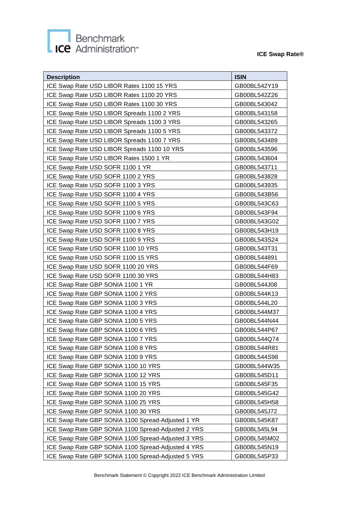# Benchmark<br> **ICE** Administration<sup>®</sup>

| <b>Description</b>                                 | <b>ISIN</b>  |
|----------------------------------------------------|--------------|
| ICE Swap Rate USD LIBOR Rates 1100 15 YRS          | GB00BL542Y19 |
| ICE Swap Rate USD LIBOR Rates 1100 20 YRS          | GB00BL542Z26 |
| ICE Swap Rate USD LIBOR Rates 1100 30 YRS          | GB00BL543042 |
| ICE Swap Rate USD LIBOR Spreads 1100 2 YRS         | GB00BL543158 |
| ICE Swap Rate USD LIBOR Spreads 1100 3 YRS         | GB00BL543265 |
| ICE Swap Rate USD LIBOR Spreads 1100 5 YRS         | GB00BL543372 |
| ICE Swap Rate USD LIBOR Spreads 1100 7 YRS         | GB00BL543489 |
| ICE Swap Rate USD LIBOR Spreads 1100 10 YRS        | GB00BL543596 |
| ICE Swap Rate USD LIBOR Rates 1500 1 YR            | GB00BL543604 |
| ICE Swap Rate USD SOFR 1100 1 YR                   | GB00BL543711 |
| ICE Swap Rate USD SOFR 1100 2 YRS                  | GB00BL543828 |
| ICE Swap Rate USD SOFR 1100 3 YRS                  | GB00BL543935 |
| ICE Swap Rate USD SOFR 1100 4 YRS                  | GB00BL543B56 |
| ICE Swap Rate USD SOFR 1100 5 YRS                  | GB00BL543C63 |
| ICE Swap Rate USD SOFR 1100 6 YRS                  | GB00BL543F94 |
| ICE Swap Rate USD SOFR 1100 7 YRS                  | GB00BL543G02 |
| ICE Swap Rate USD SOFR 1100 8 YRS                  | GB00BL543H19 |
| ICE Swap Rate USD SOFR 1100 9 YRS                  | GB00BL543S24 |
| ICE Swap Rate USD SOFR 1100 10 YRS                 | GB00BL543T31 |
| ICE Swap Rate USD SOFR 1100 15 YRS                 | GB00BL544891 |
| ICE Swap Rate USD SOFR 1100 20 YRS                 | GB00BL544F69 |
| ICE Swap Rate USD SOFR 1100 30 YRS                 | GB00BL544H83 |
| ICE Swap Rate GBP SONIA 1100 1 YR                  | GB00BL544J08 |
| ICE Swap Rate GBP SONIA 1100 2 YRS                 | GB00BL544K13 |
| ICE Swap Rate GBP SONIA 1100 3 YRS                 | GB00BL544L20 |
| ICE Swap Rate GBP SONIA 1100 4 YRS                 | GB00BL544M37 |
| ICE Swap Rate GBP SONIA 1100 5 YRS                 | GB00BL544N44 |
| ICE Swap Rate GBP SONIA 1100 6 YRS                 | GB00BL544P67 |
| ICE Swap Rate GBP SONIA 1100 7 YRS                 | GB00BL544Q74 |
| ICE Swap Rate GBP SONIA 1100 8 YRS                 | GB00BL544R81 |
| ICE Swap Rate GBP SONIA 1100 9 YRS                 | GB00BL544S98 |
| ICE Swap Rate GBP SONIA 1100 10 YRS                | GB00BL544W35 |
| ICE Swap Rate GBP SONIA 1100 12 YRS                | GB00BL545D11 |
| ICE Swap Rate GBP SONIA 1100 15 YRS                | GB00BL545F35 |
| ICE Swap Rate GBP SONIA 1100 20 YRS                | GB00BL545G42 |
| ICE Swap Rate GBP SONIA 1100 25 YRS                | GB00BL545H58 |
| ICE Swap Rate GBP SONIA 1100 30 YRS                | GB00BL545J72 |
| ICE Swap Rate GBP SONIA 1100 Spread-Adjusted 1 YR  | GB00BL545K87 |
| ICE Swap Rate GBP SONIA 1100 Spread-Adjusted 2 YRS | GB00BL545L94 |
| ICE Swap Rate GBP SONIA 1100 Spread-Adjusted 3 YRS | GB00BL545M02 |
| ICE Swap Rate GBP SONIA 1100 Spread-Adjusted 4 YRS | GB00BL545N19 |
| ICE Swap Rate GBP SONIA 1100 Spread-Adjusted 5 YRS | GB00BL545P33 |